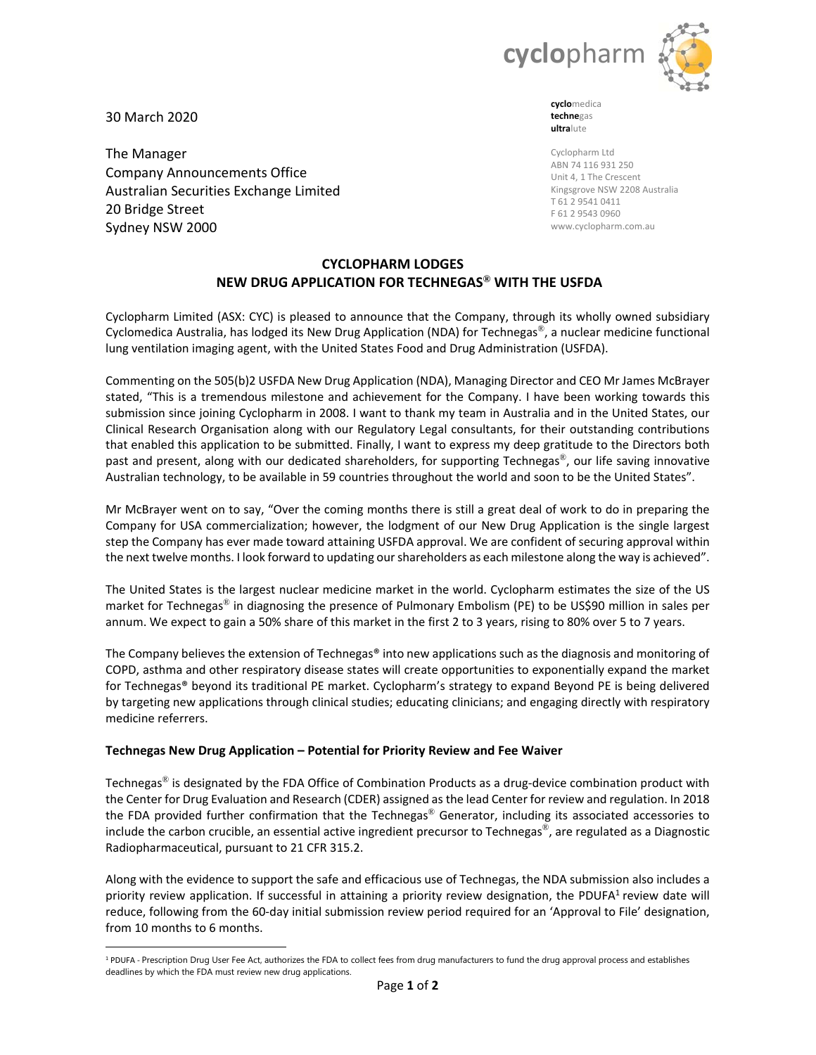

30 March 2020

The Manager Company Announcements Office Australian Securities Exchange Limited 20 Bridge Street Sydney NSW 2000

**cyclo**medica **techne**gas **ultra**lute

Cyclopharm Ltd ABN 74 116 931 250 Unit 4, 1 The Crescent Kingsgrove NSW 2208 Australia T 61 2 9541 0411 F 61 2 9543 0960 www.cyclopharm.com.au

# **CYCLOPHARM LODGES NEW DRUG APPLICATION FOR TECHNEGAS® WITH THE USFDA**

Cyclopharm Limited (ASX: CYC) is pleased to announce that the Company, through its wholly owned subsidiary Cyclomedica Australia, has lodged its New Drug Application (NDA) for Technegas®, a nuclear medicine functional lung ventilation imaging agent, with the United States Food and Drug Administration (USFDA).

Commenting on the 505(b)2 USFDA New Drug Application (NDA), Managing Director and CEO Mr James McBrayer stated, "This is a tremendous milestone and achievement for the Company. I have been working towards this submission since joining Cyclopharm in 2008. I want to thank my team in Australia and in the United States, our Clinical Research Organisation along with our Regulatory Legal consultants, for their outstanding contributions that enabled this application to be submitted. Finally, I want to express my deep gratitude to the Directors both past and present, along with our dedicated shareholders, for supporting Technegas®, our life saving innovative Australian technology, to be available in 59 countries throughout the world and soon to be the United States".

Mr McBrayer went on to say, "Over the coming months there is still a great deal of work to do in preparing the Company for USA commercialization; however, the lodgment of our New Drug Application is the single largest step the Company has ever made toward attaining USFDA approval. We are confident of securing approval within the next twelve months. I look forward to updating our shareholders as each milestone along the way is achieved".

The United States is the largest nuclear medicine market in the world. Cyclopharm estimates the size of the US market for Technegas® in diagnosing the presence of Pulmonary Embolism (PE) to be US\$90 million in sales per annum. We expect to gain a 50% share of this market in the first 2 to 3 years, rising to 80% over 5 to 7 years.

The Company believes the extension of Technegas® into new applications such as the diagnosis and monitoring of COPD, asthma and other respiratory disease states will create opportunities to exponentially expand the market for Technegas® beyond its traditional PE market. Cyclopharm's strategy to expand Beyond PE is being delivered by targeting new applications through clinical studies; educating clinicians; and engaging directly with respiratory medicine referrers.

## **Technegas New Drug Application – Potential for Priority Review and Fee Waiver**

Technegas® is designated by the FDA Office of Combination Products as a drug‐device combination product with the Center for Drug Evaluation and Research (CDER) assigned as the lead Center for review and regulation. In 2018 the FDA provided further confirmation that the Technegas® Generator, including its associated accessories to include the carbon crucible, an essential active ingredient precursor to Technegas<sup>®</sup>, are regulated as a Diagnostic Radiopharmaceutical, pursuant to 21 CFR 315.2.

Along with the evidence to support the safe and efficacious use of Technegas, the NDA submission also includes a priority review application. If successful in attaining a priority review designation, the PDUFA<sup>1</sup> review date will reduce, following from the 60‐day initial submission review period required for an 'Approval to File' designation, from 10 months to 6 months.

<sup>1</sup> PDUFA - Prescription Drug User Fee Act, authorizes the FDA to collect fees from drug manufacturers to fund the drug approval process and establishes deadlines by which the FDA must review new drug applications.